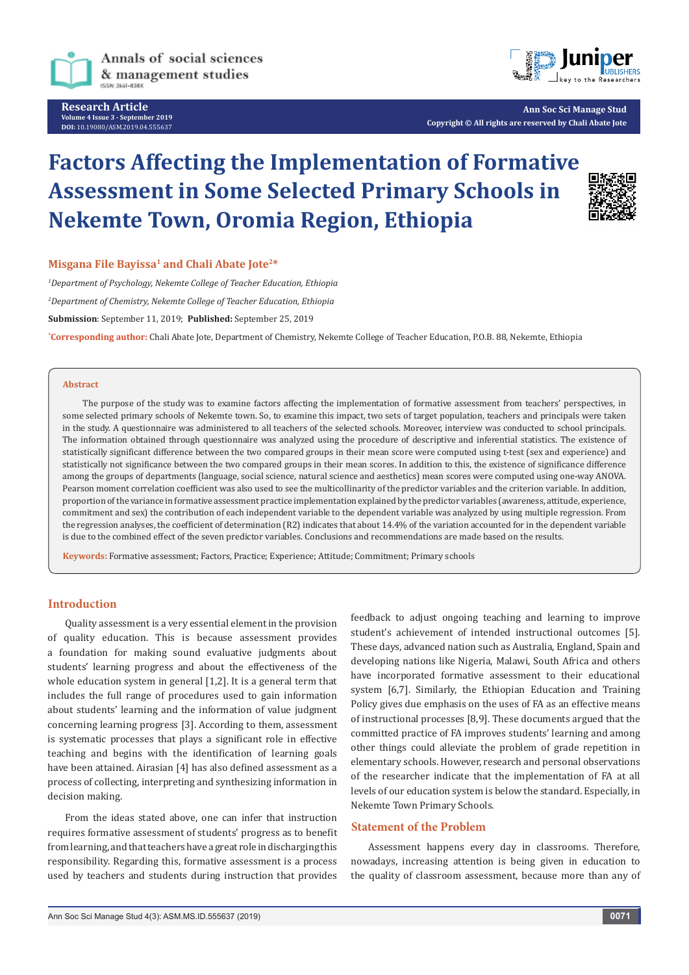

**Research Article Volume 4 Issue 3 - September 2019 DOI:** [10.19080/ASM.2019.04.555637](http://dx.doi.org/10.19080/ASM.2019.04.555637)



**Ann Soc Sci Manage Stud Copyright © All rights are reserved by Chali Abate Jote**

# **Factors Affecting the Implementation of Formative Assessment in Some Selected Primary Schools in Nekemte Town, Oromia Region, Ethiopia**



## Misgana File Bayissa<sup>1</sup> and Chali Abate Jote<sup>2\*</sup>

*1 Department of Psychology, Nekemte College of Teacher Education, Ethiopia 2 Department of Chemistry, Nekemte College of Teacher Education, Ethiopia* **Submission**: September 11, 2019; **Published:** September 25, 2019

**\* Corresponding author:** Chali Abate Jote, Department of Chemistry, Nekemte College of Teacher Education, P.O.B. 88, Nekemte, Ethiopia

## **Abstract**

The purpose of the study was to examine factors affecting the implementation of formative assessment from teachers' perspectives, in some selected primary schools of Nekemte town. So, to examine this impact, two sets of target population, teachers and principals were taken in the study. A questionnaire was administered to all teachers of the selected schools. Moreover, interview was conducted to school principals. The information obtained through questionnaire was analyzed using the procedure of descriptive and inferential statistics. The existence of statistically significant difference between the two compared groups in their mean score were computed using t-test (sex and experience) and statistically not significance between the two compared groups in their mean scores. In addition to this, the existence of significance difference among the groups of departments (language, social science, natural science and aesthetics) mean scores were computed using one-way ANOVA. Pearson moment correlation coefficient was also used to see the multicollinarity of the predictor variables and the criterion variable. In addition, proportion of the variance in formative assessment practice implementation explained by the predictor variables (awareness, attitude, experience, commitment and sex) the contribution of each independent variable to the dependent variable was analyzed by using multiple regression. From the regression analyses, the coefficient of determination (R2) indicates that about 14.4% of the variation accounted for in the dependent variable is due to the combined effect of the seven predictor variables. Conclusions and recommendations are made based on the results.

**Keywords:** Formative assessment; Factors, Practice; Experience; Attitude; Commitment; Primary schools

#### **Introduction**

Quality assessment is a very essential element in the provision of quality education. This is because assessment provides a foundation for making sound evaluative judgments about students' learning progress and about the effectiveness of the whole education system in general [1,2]. It is a general term that includes the full range of procedures used to gain information about students' learning and the information of value judgment concerning learning progress [3]. According to them, assessment is systematic processes that plays a significant role in effective teaching and begins with the identification of learning goals have been attained. Airasian [4] has also defined assessment as a process of collecting, interpreting and synthesizing information in decision making.

From the ideas stated above, one can infer that instruction requires formative assessment of students' progress as to benefit from learning, and that teachers have a great role in discharging this responsibility. Regarding this, formative assessment is a process used by teachers and students during instruction that provides feedback to adjust ongoing teaching and learning to improve student's achievement of intended instructional outcomes [5]. These days, advanced nation such as Australia, England, Spain and developing nations like Nigeria, Malawi, South Africa and others have incorporated formative assessment to their educational system [6,7]. Similarly, the Ethiopian Education and Training Policy gives due emphasis on the uses of FA as an effective means of instructional processes [8,9]. These documents argued that the committed practice of FA improves students' learning and among other things could alleviate the problem of grade repetition in elementary schools. However, research and personal observations of the researcher indicate that the implementation of FA at all levels of our education system is below the standard. Especially, in Nekemte Town Primary Schools.

#### **Statement of the Problem**

Assessment happens every day in classrooms. Therefore, nowadays, increasing attention is being given in education to the quality of classroom assessment, because more than any of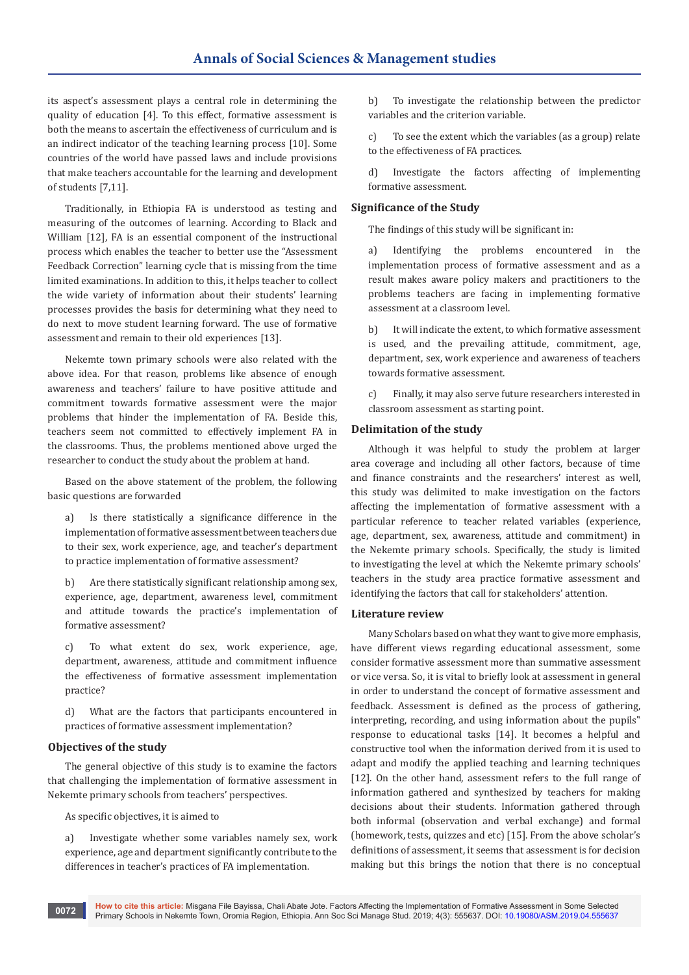its aspect's assessment plays a central role in determining the quality of education [4]. To this effect, formative assessment is both the means to ascertain the effectiveness of curriculum and is an indirect indicator of the teaching learning process [10]. Some countries of the world have passed laws and include provisions that make teachers accountable for the learning and development of students [7,11].

Traditionally, in Ethiopia FA is understood as testing and measuring of the outcomes of learning. According to Black and William [12]. FA is an essential component of the instructional process which enables the teacher to better use the "Assessment Feedback Correction" learning cycle that is missing from the time limited examinations. In addition to this, it helps teacher to collect the wide variety of information about their students' learning processes provides the basis for determining what they need to do next to move student learning forward. The use of formative assessment and remain to their old experiences [13].

Nekemte town primary schools were also related with the above idea. For that reason, problems like absence of enough awareness and teachers' failure to have positive attitude and commitment towards formative assessment were the major problems that hinder the implementation of FA. Beside this, teachers seem not committed to effectively implement FA in the classrooms. Thus, the problems mentioned above urged the researcher to conduct the study about the problem at hand.

Based on the above statement of the problem, the following basic questions are forwarded

a) Is there statistically a significance difference in the implementation of formative assessment between teachers due to their sex, work experience, age, and teacher's department to practice implementation of formative assessment?

b) Are there statistically significant relationship among sex, experience, age, department, awareness level, commitment and attitude towards the practice's implementation of formative assessment?

c) To what extent do sex, work experience, age, department, awareness, attitude and commitment influence the effectiveness of formative assessment implementation practice?

d) What are the factors that participants encountered in practices of formative assessment implementation?

## **Objectives of the study**

The general objective of this study is to examine the factors that challenging the implementation of formative assessment in Nekemte primary schools from teachers' perspectives.

As specific objectives, it is aimed to

a) Investigate whether some variables namely sex, work experience, age and department significantly contribute to the differences in teacher's practices of FA implementation.

b) To investigate the relationship between the predictor variables and the criterion variable.

c) To see the extent which the variables (as a group) relate to the effectiveness of FA practices.

d) Investigate the factors affecting of implementing formative assessment.

#### **Significance of the Study**

The findings of this study will be significant in:

a) Identifying the problems encountered in the implementation process of formative assessment and as a result makes aware policy makers and practitioners to the problems teachers are facing in implementing formative assessment at a classroom level.

b) It will indicate the extent, to which formative assessment is used, and the prevailing attitude, commitment, age, department, sex, work experience and awareness of teachers towards formative assessment.

c) Finally, it may also serve future researchers interested in classroom assessment as starting point.

#### **Delimitation of the study**

Although it was helpful to study the problem at larger area coverage and including all other factors, because of time and finance constraints and the researchers' interest as well, this study was delimited to make investigation on the factors affecting the implementation of formative assessment with a particular reference to teacher related variables (experience, age, department, sex, awareness, attitude and commitment) in the Nekemte primary schools. Specifically, the study is limited to investigating the level at which the Nekemte primary schools' teachers in the study area practice formative assessment and identifying the factors that call for stakeholders' attention.

#### **Literature review**

Many Scholars based on what they want to give more emphasis, have different views regarding educational assessment, some consider formative assessment more than summative assessment or vice versa. So, it is vital to briefly look at assessment in general in order to understand the concept of formative assessment and feedback. Assessment is defined as the process of gathering, interpreting, recording, and using information about the pupils" response to educational tasks [14]. It becomes a helpful and constructive tool when the information derived from it is used to adapt and modify the applied teaching and learning techniques [12]. On the other hand, assessment refers to the full range of information gathered and synthesized by teachers for making decisions about their students. Information gathered through both informal (observation and verbal exchange) and formal (homework, tests, quizzes and etc) [15]. From the above scholar's definitions of assessment, it seems that assessment is for decision making but this brings the notion that there is no conceptual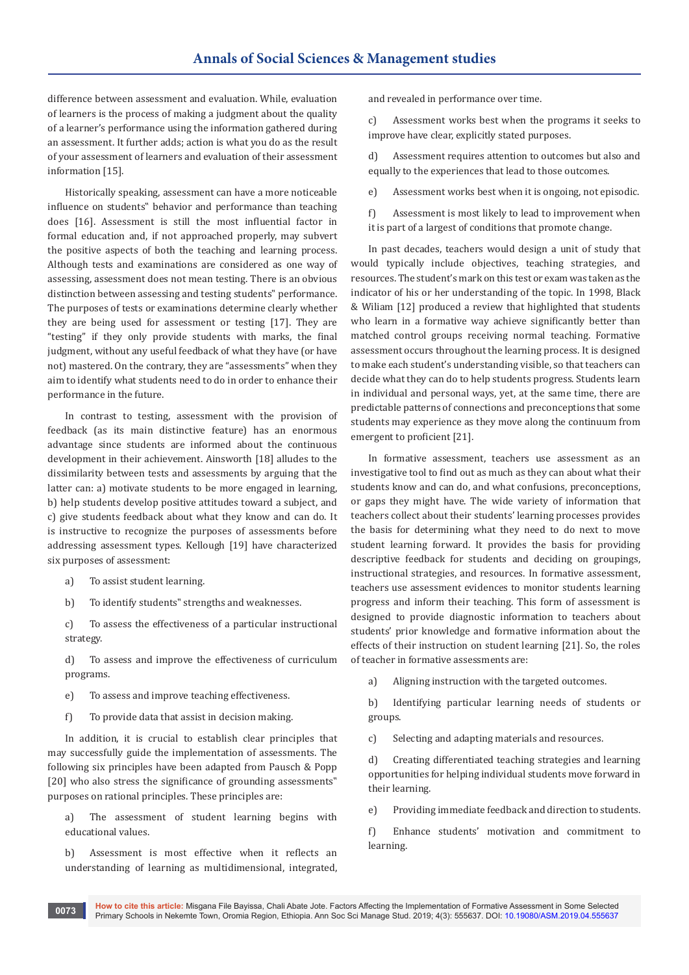difference between assessment and evaluation. While, evaluation of learners is the process of making a judgment about the quality of a learner's performance using the information gathered during an assessment. It further adds; action is what you do as the result of your assessment of learners and evaluation of their assessment information [15].

Historically speaking, assessment can have a more noticeable influence on students" behavior and performance than teaching does [16]. Assessment is still the most influential factor in formal education and, if not approached properly, may subvert the positive aspects of both the teaching and learning process. Although tests and examinations are considered as one way of assessing, assessment does not mean testing. There is an obvious distinction between assessing and testing students" performance. The purposes of tests or examinations determine clearly whether they are being used for assessment or testing [17]. They are "testing" if they only provide students with marks, the final judgment, without any useful feedback of what they have (or have not) mastered. On the contrary, they are "assessments" when they aim to identify what students need to do in order to enhance their performance in the future.

In contrast to testing, assessment with the provision of feedback (as its main distinctive feature) has an enormous advantage since students are informed about the continuous development in their achievement. Ainsworth [18] alludes to the dissimilarity between tests and assessments by arguing that the latter can: a) motivate students to be more engaged in learning, b) help students develop positive attitudes toward a subject, and c) give students feedback about what they know and can do. It is instructive to recognize the purposes of assessments before addressing assessment types. Kellough [19] have characterized six purposes of assessment:

- a) To assist student learning.
- b) To identify students" strengths and weaknesses.

c) To assess the effectiveness of a particular instructional strategy.

d) To assess and improve the effectiveness of curriculum programs.

- e) To assess and improve teaching effectiveness.
- f) To provide data that assist in decision making.

In addition, it is crucial to establish clear principles that may successfully guide the implementation of assessments. The following six principles have been adapted from Pausch & Popp [20] who also stress the significance of grounding assessments" purposes on rational principles. These principles are:

a) The assessment of student learning begins with educational values.

b) Assessment is most effective when it reflects an understanding of learning as multidimensional, integrated,

and revealed in performance over time.

c) Assessment works best when the programs it seeks to improve have clear, explicitly stated purposes.

d) Assessment requires attention to outcomes but also and equally to the experiences that lead to those outcomes.

e) Assessment works best when it is ongoing, not episodic.

f) Assessment is most likely to lead to improvement when it is part of a largest of conditions that promote change.

In past decades, teachers would design a unit of study that would typically include objectives, teaching strategies, and resources. The student's mark on this test or exam was taken as the indicator of his or her understanding of the topic. In 1998, Black & Wiliam [12] produced a review that highlighted that students who learn in a formative way achieve significantly better than matched control groups receiving normal teaching. Formative assessment occurs throughout the learning process. It is designed to make each student's understanding visible, so that teachers can decide what they can do to help students progress. Students learn in individual and personal ways, yet, at the same time, there are predictable patterns of connections and preconceptions that some students may experience as they move along the continuum from emergent to proficient [21].

In formative assessment, teachers use assessment as an investigative tool to find out as much as they can about what their students know and can do, and what confusions, preconceptions, or gaps they might have. The wide variety of information that teachers collect about their students' learning processes provides the basis for determining what they need to do next to move student learning forward. It provides the basis for providing descriptive feedback for students and deciding on groupings, instructional strategies, and resources. In formative assessment, teachers use assessment evidences to monitor students learning progress and inform their teaching. This form of assessment is designed to provide diagnostic information to teachers about students' prior knowledge and formative information about the effects of their instruction on student learning [21]. So, the roles of teacher in formative assessments are:

a) Aligning instruction with the targeted outcomes.

b) Identifying particular learning needs of students or groups.

c) Selecting and adapting materials and resources.

d) Creating differentiated teaching strategies and learning opportunities for helping individual students move forward in their learning.

e) Providing immediate feedback and direction to students.

f) Enhance students' motivation and commitment to learning.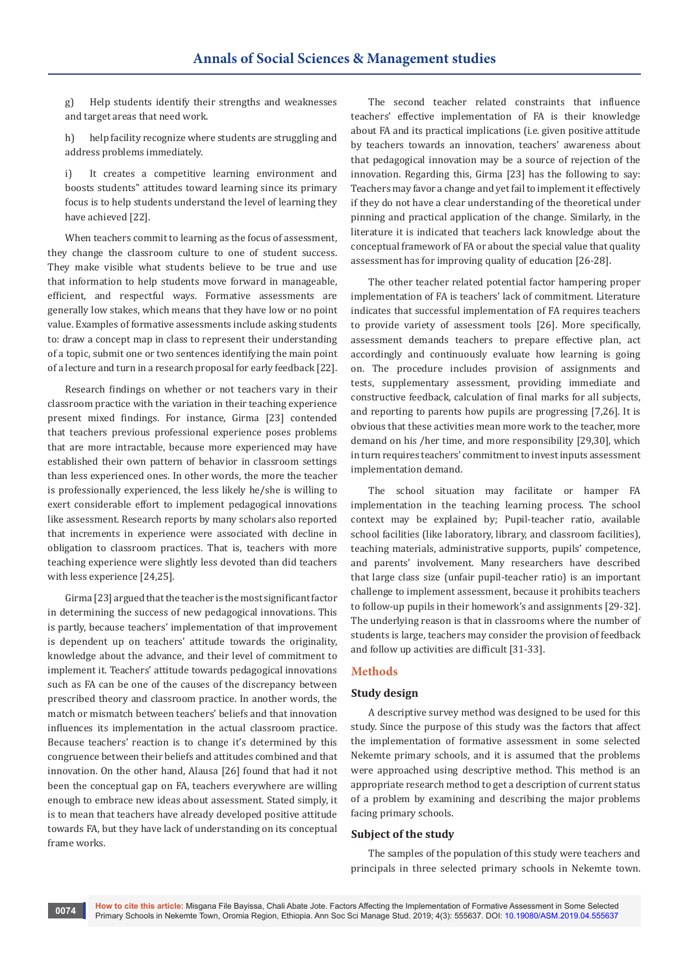g) Help students identify their strengths and weaknesses and target areas that need work.

h) help facility recognize where students are struggling and address problems immediately.

i) It creates a competitive learning environment and boosts students" attitudes toward learning since its primary focus is to help students understand the level of learning they have achieved [22].

When teachers commit to learning as the focus of assessment, they change the classroom culture to one of student success. They make visible what students believe to be true and use that information to help students move forward in manageable, efficient, and respectful ways. Formative assessments are generally low stakes, which means that they have low or no point value. Examples of formative assessments include asking students to: draw a concept map in class to represent their understanding of a topic, submit one or two sentences identifying the main point of a lecture and turn in a research proposal for early feedback [22].

Research findings on whether or not teachers vary in their classroom practice with the variation in their teaching experience present mixed findings. For instance, Girma [23] contended that teachers previous professional experience poses problems that are more intractable, because more experienced may have established their own pattern of behavior in classroom settings than less experienced ones. In other words, the more the teacher is professionally experienced, the less likely he/she is willing to exert considerable effort to implement pedagogical innovations like assessment. Research reports by many scholars also reported that increments in experience were associated with decline in obligation to classroom practices. That is, teachers with more teaching experience were slightly less devoted than did teachers with less experience [24,25].

Girma [23] argued that the teacher is the most significant factor in determining the success of new pedagogical innovations. This is partly, because teachers' implementation of that improvement is dependent up on teachers' attitude towards the originality, knowledge about the advance, and their level of commitment to implement it. Teachers' attitude towards pedagogical innovations such as FA can be one of the causes of the discrepancy between prescribed theory and classroom practice. In another words, the match or mismatch between teachers' beliefs and that innovation influences its implementation in the actual classroom practice. Because teachers' reaction is to change it's determined by this congruence between their beliefs and attitudes combined and that innovation. On the other hand, Alausa [26] found that had it not been the conceptual gap on FA, teachers everywhere are willing enough to embrace new ideas about assessment. Stated simply, it is to mean that teachers have already developed positive attitude towards FA, but they have lack of understanding on its conceptual frame works.

The second teacher related constraints that influence teachers' effective implementation of FA is their knowledge about FA and its practical implications (i.e. given positive attitude by teachers towards an innovation, teachers' awareness about that pedagogical innovation may be a source of rejection of the innovation. Regarding this, Girma [23] has the following to say: Teachers may favor a change and yet fail to implement it effectively if they do not have a clear understanding of the theoretical under pinning and practical application of the change. Similarly, in the literature it is indicated that teachers lack knowledge about the conceptual framework of FA or about the special value that quality assessment has for improving quality of education [26-28].

The other teacher related potential factor hampering proper implementation of FA is teachers' lack of commitment. Literature indicates that successful implementation of FA requires teachers to provide variety of assessment tools [26]. More specifically, assessment demands teachers to prepare effective plan, act accordingly and continuously evaluate how learning is going on. The procedure includes provision of assignments and tests, supplementary assessment, providing immediate and constructive feedback, calculation of final marks for all subjects, and reporting to parents how pupils are progressing [7,26]. It is obvious that these activities mean more work to the teacher, more demand on his /her time, and more responsibility [29,30], which in turn requires teachers' commitment to invest inputs assessment implementation demand.

The school situation may facilitate or hamper FA implementation in the teaching learning process. The school context may be explained by; Pupil-teacher ratio, available school facilities (like laboratory, library, and classroom facilities), teaching materials, administrative supports, pupils' competence, and parents' involvement. Many researchers have described that large class size (unfair pupil-teacher ratio) is an important challenge to implement assessment, because it prohibits teachers to follow-up pupils in their homework's and assignments [29-32]. The underlying reason is that in classrooms where the number of students is large, teachers may consider the provision of feedback and follow up activities are difficult [31-33].

## **Methods**

#### **Study design**

A descriptive survey method was designed to be used for this study. Since the purpose of this study was the factors that affect the implementation of formative assessment in some selected Nekemte primary schools, and it is assumed that the problems were approached using descriptive method. This method is an appropriate research method to get a description of current status of a problem by examining and describing the major problems facing primary schools.

#### **Subject of the study**

The samples of the population of this study were teachers and principals in three selected primary schools in Nekemte town.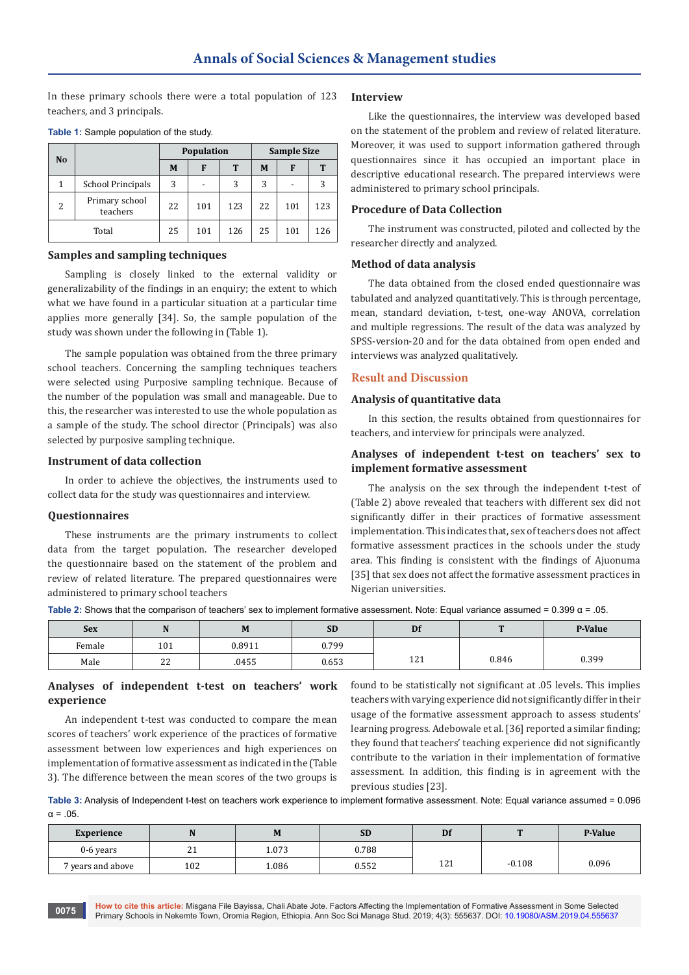In these primary schools there were a total population of 123 teachers, and 3 principals.

| N <sub>o</sub>           |                            |    | Population               |     | <b>Sample Size</b> |     |     |  |
|--------------------------|----------------------------|----|--------------------------|-----|--------------------|-----|-----|--|
|                          |                            | M  | F                        | T   | M                  | F   | т   |  |
| 1                        | <b>School Principals</b>   | 3  | $\overline{\phantom{a}}$ | 3   | 3                  |     |     |  |
| $\overline{\mathcal{L}}$ | Primary school<br>teachers | 22 | 101                      | 123 | 22                 | 101 | 123 |  |
| Total                    |                            | 25 | 101                      | 126 | 25                 | 101 | 126 |  |

#### **Table 1:** Sample population of the study.

#### **Samples and sampling techniques**

Sampling is closely linked to the external validity or generalizability of the findings in an enquiry; the extent to which what we have found in a particular situation at a particular time applies more generally [34]. So, the sample population of the study was shown under the following in (Table 1).

The sample population was obtained from the three primary school teachers. Concerning the sampling techniques teachers were selected using Purposive sampling technique. Because of the number of the population was small and manageable. Due to this, the researcher was interested to use the whole population as a sample of the study. The school director (Principals) was also selected by purposive sampling technique.

## **Instrument of data collection**

In order to achieve the objectives, the instruments used to collect data for the study was questionnaires and interview.

#### **Questionnaires**

These instruments are the primary instruments to collect data from the target population. The researcher developed the questionnaire based on the statement of the problem and review of related literature. The prepared questionnaires were administered to primary school teachers

#### **Interview**

Like the questionnaires, the interview was developed based on the statement of the problem and review of related literature. Moreover, it was used to support information gathered through questionnaires since it has occupied an important place in descriptive educational research. The prepared interviews were administered to primary school principals.

## **Procedure of Data Collection**

The instrument was constructed, piloted and collected by the researcher directly and analyzed.

## **Method of data analysis**

The data obtained from the closed ended questionnaire was tabulated and analyzed quantitatively. This is through percentage, mean, standard deviation, t-test, one-way ANOVA, correlation and multiple regressions. The result of the data was analyzed by SPSS-version-20 and for the data obtained from open ended and interviews was analyzed qualitatively.

#### **Result and Discussion**

#### **Analysis of quantitative data**

In this section, the results obtained from questionnaires for teachers, and interview for principals were analyzed.

## **Analyses of independent t-test on teachers' sex to implement formative assessment**

The analysis on the sex through the independent t-test of (Table 2) above revealed that teachers with different sex did not significantly differ in their practices of formative assessment implementation. This indicates that, sex of teachers does not affect formative assessment practices in the schools under the study area. This finding is consistent with the findings of Ajuonuma [35] that sex does not affect the formative assessment practices in Nigerian universities.

**Table 2:** Shows that the comparison of teachers' sex to implement formative assessment. Note: Equal variance assumed = 0.399 α = .05.

| <b>Sex</b> | 14            | IVI    | <b>SD</b> | Df        | m     | P-Value |
|------------|---------------|--------|-----------|-----------|-------|---------|
| Female     | 101           | 0.8911 | 0.799     |           |       |         |
| Male       | $\sim$<br>. . | .0455  | 0.653     | 121<br>ᅶᄼ | 0.846 | 0.399   |

# **Analyses of independent t-test on teachers' work experience**

An independent t-test was conducted to compare the mean scores of teachers' work experience of the practices of formative assessment between low experiences and high experiences on implementation of formative assessment as indicated in the (Table 3). The difference between the mean scores of the two groups is

found to be statistically not significant at .05 levels. This implies teachers with varying experience did not significantly differ in their usage of the formative assessment approach to assess students' learning progress. Adebowale et al. [36] reported a similar finding; they found that teachers' teaching experience did not significantly contribute to the variation in their implementation of formative assessment. In addition, this finding is in agreement with the previous studies [23].

**Table 3:** Analysis of Independent t-test on teachers work experience to implement formative assessment. Note: Equal variance assumed = 0.096  $\alpha = 0.5$ 

| Experience                   | N       | M     | <b>SD</b> | Df          | <b>n</b> | P-Value |
|------------------------------|---------|-------|-----------|-------------|----------|---------|
| 0-6 years                    | ີ<br>41 | 1.073 | 0.788     |             |          |         |
| <sup>7</sup> years and above | 102     | 1.086 | 0.552     | 121<br>14 L | $-0.108$ | 0.096   |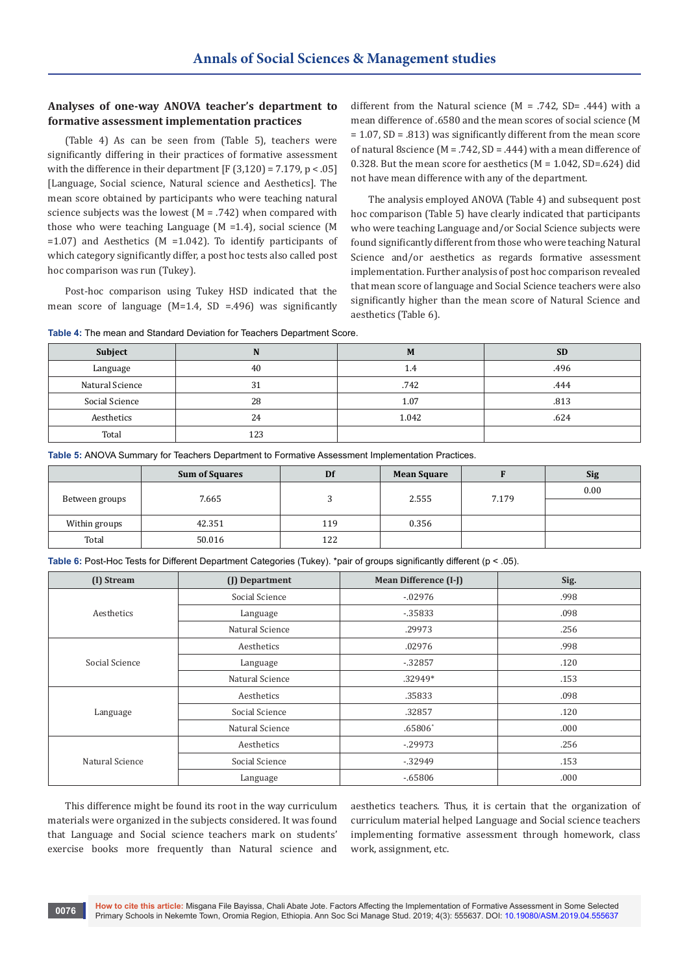# **Analyses of one-way ANOVA teacher's department to formative assessment implementation practices**

(Table 4) As can be seen from (Table 5), teachers were significantly differing in their practices of formative assessment with the difference in their department  $[F(3,120) = 7.179, p < .05]$ [Language, Social science, Natural science and Aesthetics]. The mean score obtained by participants who were teaching natural science subjects was the lowest  $(M = .742)$  when compared with those who were teaching Language (M =1.4), social science (M =1.07) and Aesthetics (M =1.042). To identify participants of which category significantly differ, a post hoc tests also called post hoc comparison was run (Tukey).

Post-hoc comparison using Tukey HSD indicated that the mean score of language  $(M=1.4, SD = .496)$  was significantly

different from the Natural science  $(M = .742, SD = .444)$  with a mean difference of .6580 and the mean scores of social science (M = 1.07, SD = .813) was significantly different from the mean score of natural 8science (M = .742, SD = .444) with a mean difference of 0.328. But the mean score for aesthetics (M = 1.042, SD=.624) did not have mean difference with any of the department.

The analysis employed ANOVA (Table 4) and subsequent post hoc comparison (Table 5) have clearly indicated that participants who were teaching Language and/or Social Science subjects were found significantly different from those who were teaching Natural Science and/or aesthetics as regards formative assessment implementation. Further analysis of post hoc comparison revealed that mean score of language and Social Science teachers were also significantly higher than the mean score of Natural Science and aesthetics (Table 6).

| Table 4: The mean and Standard Deviation for Teachers Department Score. |  |
|-------------------------------------------------------------------------|--|
|-------------------------------------------------------------------------|--|

| Subject         | N   | M     | <b>SD</b> |
|-----------------|-----|-------|-----------|
| Language        | 40  | 1.4   | .496      |
| Natural Science | 31  | .742  | .444      |
| Social Science  | 28  | 1.07  | .813      |
| Aesthetics      | 24  | 1.042 | .624      |
| Total           | 123 |       |           |

**Table 5:** ANOVA Summary for Teachers Department to Formative Assessment Implementation Practices.

|                | <b>Sum of Squares</b> | Df  | <b>Mean Square</b> |       | <b>Sig</b> |
|----------------|-----------------------|-----|--------------------|-------|------------|
|                |                       |     | 2.555              | 7.179 | 0.00       |
| Between groups | 7.665                 |     |                    |       |            |
| Within groups  | 42.351                | 119 | 0.356              |       |            |
| Total          | 50.016                | 122 |                    |       |            |

**Table 6:** Post-Hoc Tests for Different Department Categories (Tukey). \*pair of groups significantly different (p < .05).

| (I) Stream      | (J) Department  | <b>Mean Difference (I-J)</b> | Sig.  |
|-----------------|-----------------|------------------------------|-------|
|                 | Social Science  | $-0.02976$                   | .998  |
| Aesthetics      | Language        | $-0.35833$                   | .098  |
|                 | Natural Science | .29973                       | .256  |
|                 | Aesthetics      | .02976                       | .998  |
| Social Science  | Language        | $-0.32857$                   | .120  |
|                 | Natural Science | .32949*                      | .153  |
|                 | Aesthetics      | .35833                       | .098  |
| Language        | Social Science  | .32857                       | .120  |
|                 | Natural Science | $.65806*$                    | .000. |
|                 | Aesthetics      | $-29973$                     | .256  |
| Natural Science | Social Science  | $-32949$                     | .153  |
|                 | Language        | $-65806$                     | .000. |

This difference might be found its root in the way curriculum materials were organized in the subjects considered. It was found that Language and Social science teachers mark on students' exercise books more frequently than Natural science and aesthetics teachers. Thus, it is certain that the organization of curriculum material helped Language and Social science teachers implementing formative assessment through homework, class work, assignment, etc.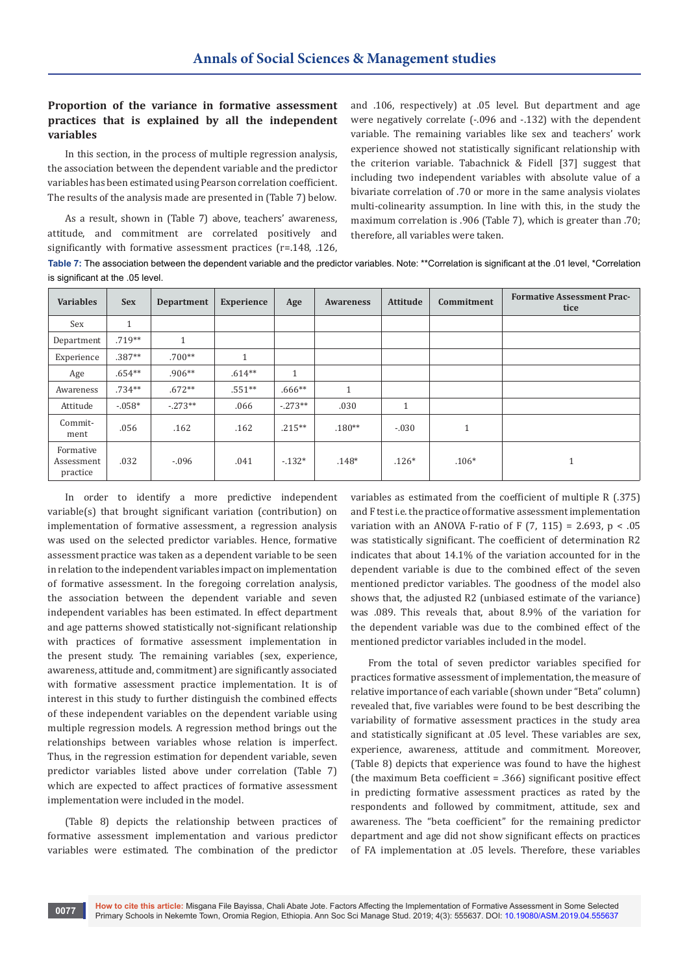# **Proportion of the variance in formative assessment practices that is explained by all the independent variables**

In this section, in the process of multiple regression analysis, the association between the dependent variable and the predictor variables has been estimated using Pearson correlation coefficient. The results of the analysis made are presented in (Table 7) below.

As a result, shown in (Table 7) above, teachers' awareness, attitude, and commitment are correlated positively and significantly with formative assessment practices (r=.148, .126,

and .106, respectively) at .05 level. But department and age were negatively correlate (-.096 and -.132) with the dependent variable. The remaining variables like sex and teachers' work experience showed not statistically significant relationship with the criterion variable. Tabachnick & Fidell [37] suggest that including two independent variables with absolute value of a bivariate correlation of .70 or more in the same analysis violates multi-colinearity assumption. In line with this, in the study the maximum correlation is .906 (Table 7), which is greater than .70; therefore, all variables were taken.

**Table 7:** The association between the dependent variable and the predictor variables. Note: \*\*Correlation is significant at the .01 level, \*Correlation is significant at the .05 level.

| <b>Variables</b>                    | <b>Sex</b>   | <b>Department</b>    | <b>Experience</b> | Age          | <b>Awareness</b> | Attitude     | Commitment                 | <b>Formative Assessment Prac-</b><br>tice |
|-------------------------------------|--------------|----------------------|-------------------|--------------|------------------|--------------|----------------------------|-------------------------------------------|
| Sex                                 | $\mathbf{1}$ |                      |                   |              |                  |              |                            |                                           |
| Department                          | $.719**$     | $\blacktriangleleft$ |                   |              |                  |              |                            |                                           |
| Experience                          | $.387**$     | $.700**$             | $\overline{A}$    |              |                  |              |                            |                                           |
| Age                                 | $.654**$     | $.906**$             | $.614**$          | $\mathbf{1}$ |                  |              |                            |                                           |
| Awareness                           | $.734**$     | $.672**$             | $.551**$          | $.666**$     | $\mathbf{1}$     |              |                            |                                           |
| Attitude                            | $-0.058*$    | $-273**$             | .066              | $-0.273**$   | .030             | $\mathbf{1}$ |                            |                                           |
| Commit-<br>ment                     | .056         | .162                 | .162              | $.215***$    | $.180**$         | $-.030$      | $\blacktriangleleft$<br>Ŧ. |                                           |
| Formative<br>Assessment<br>practice | .032         | $-.096$              | .041              | $-132*$      | $.148*$          | $.126*$      | $.106*$                    | <b>T</b>                                  |

In order to identify a more predictive independent variable(s) that brought significant variation (contribution) on implementation of formative assessment, a regression analysis was used on the selected predictor variables. Hence, formative assessment practice was taken as a dependent variable to be seen in relation to the independent variables impact on implementation of formative assessment. In the foregoing correlation analysis, the association between the dependent variable and seven independent variables has been estimated. In effect department and age patterns showed statistically not-significant relationship with practices of formative assessment implementation in the present study. The remaining variables (sex, experience, awareness, attitude and, commitment) are significantly associated with formative assessment practice implementation. It is of interest in this study to further distinguish the combined effects of these independent variables on the dependent variable using multiple regression models. A regression method brings out the relationships between variables whose relation is imperfect. Thus, in the regression estimation for dependent variable, seven predictor variables listed above under correlation (Table 7) which are expected to affect practices of formative assessment implementation were included in the model.

(Table 8) depicts the relationship between practices of formative assessment implementation and various predictor variables were estimated. The combination of the predictor variables as estimated from the coefficient of multiple R (.375) and F test i.e. the practice of formative assessment implementation variation with an ANOVA F-ratio of F  $(7, 115) = 2.693$ , p < .05 was statistically significant. The coefficient of determination R2 indicates that about 14.1% of the variation accounted for in the dependent variable is due to the combined effect of the seven mentioned predictor variables. The goodness of the model also shows that, the adjusted R2 (unbiased estimate of the variance) was .089. This reveals that, about 8.9% of the variation for the dependent variable was due to the combined effect of the mentioned predictor variables included in the model.

From the total of seven predictor variables specified for practices formative assessment of implementation, the measure of relative importance of each variable (shown under "Beta" column) revealed that, five variables were found to be best describing the variability of formative assessment practices in the study area and statistically significant at .05 level. These variables are sex, experience, awareness, attitude and commitment. Moreover, (Table 8) depicts that experience was found to have the highest (the maximum Beta coefficient = .366) significant positive effect in predicting formative assessment practices as rated by the respondents and followed by commitment, attitude, sex and awareness. The "beta coefficient" for the remaining predictor department and age did not show significant effects on practices of FA implementation at .05 levels. Therefore, these variables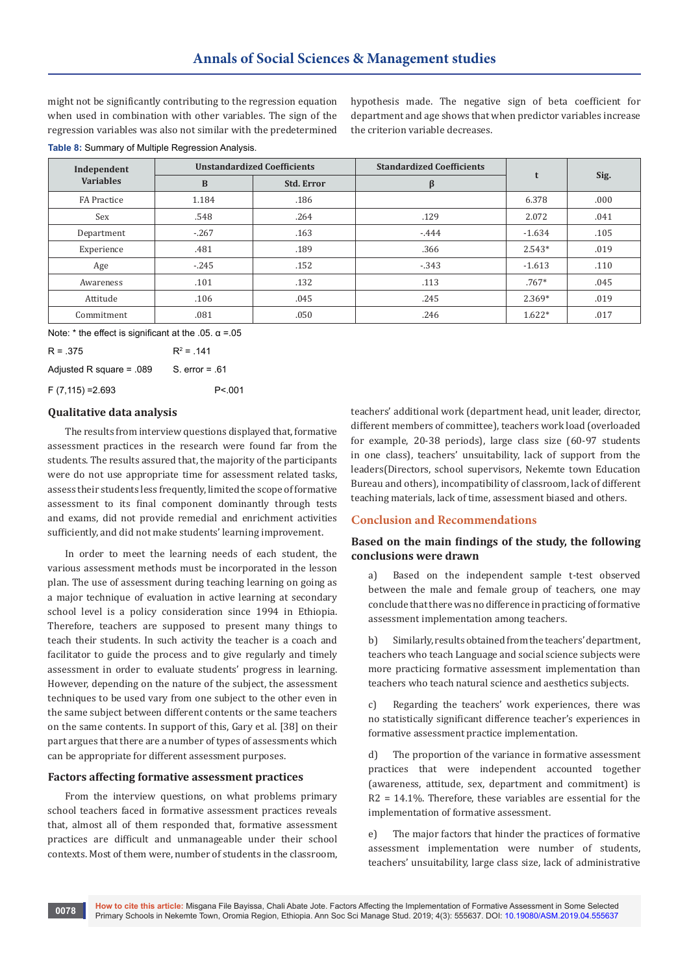might not be significantly contributing to the regression equation when used in combination with other variables. The sign of the regression variables was also not similar with the predetermined

hypothesis made. The negative sign of beta coefficient for department and age shows that when predictor variables increase the criterion variable decreases.

**Table 8:** Summary of Multiple Regression Analysis.

| Independent      |        | <b>Unstandardized Coefficients</b> | <b>Standardized Coefficients</b> | t        | Sig. |
|------------------|--------|------------------------------------|----------------------------------|----------|------|
| <b>Variables</b> | B      | <b>Std. Error</b>                  | β                                |          |      |
| FA Practice      | 1.184  | .186                               |                                  | 6.378    | .000 |
| Sex              | .548   | .264                               | .129                             | 2.072    | .041 |
| Department       | $-267$ | .163                               | $-444$                           | $-1.634$ | .105 |
| Experience       | .481   | .189                               | .366                             | $2.543*$ | .019 |
| Age              | $-245$ | .152                               | $-343$                           | $-1.613$ | .110 |
| Awareness        | .101   | .132                               | .113                             | $.767*$  | .045 |
| Attitude         | .106   | .045                               | .245                             | $2.369*$ | .019 |
| Commitment       | .081   | .050                               | .246                             | $1.622*$ | .017 |

Note:  $*$  the effect is significant at the .05.  $\alpha$  =.05

 $R = 375$  $R^2$  = 141 Adjusted R square =  $.089$  S. error =  $.61$  $F(7,115) = 2.693$  P<.001

# **Qualitative data analysis**

The results from interview questions displayed that, formative assessment practices in the research were found far from the students. The results assured that, the majority of the participants were do not use appropriate time for assessment related tasks, assess their students less frequently, limited the scope of formative assessment to its final component dominantly through tests and exams, did not provide remedial and enrichment activities sufficiently, and did not make students' learning improvement.

In order to meet the learning needs of each student, the various assessment methods must be incorporated in the lesson plan. The use of assessment during teaching learning on going as a major technique of evaluation in active learning at secondary school level is a policy consideration since 1994 in Ethiopia. Therefore, teachers are supposed to present many things to teach their students. In such activity the teacher is a coach and facilitator to guide the process and to give regularly and timely assessment in order to evaluate students' progress in learning. However, depending on the nature of the subject, the assessment techniques to be used vary from one subject to the other even in the same subject between different contents or the same teachers on the same contents. In support of this, Gary et al. [38] on their part argues that there are a number of types of assessments which can be appropriate for different assessment purposes.

## **Factors affecting formative assessment practices**

From the interview questions, on what problems primary school teachers faced in formative assessment practices reveals that, almost all of them responded that, formative assessment practices are difficult and unmanageable under their school contexts. Most of them were, number of students in the classroom, teachers' additional work (department head, unit leader, director, different members of committee), teachers work load (overloaded for example, 20-38 periods), large class size (60-97 students in one class), teachers' unsuitability, lack of support from the leaders(Directors, school supervisors, Nekemte town Education Bureau and others), incompatibility of classroom, lack of different teaching materials, lack of time, assessment biased and others.

# **Conclusion and Recommendations**

# **Based on the main findings of the study, the following conclusions were drawn**

a) Based on the independent sample t-test observed between the male and female group of teachers, one may conclude that there was no difference in practicing of formative assessment implementation among teachers.

b) Similarly, results obtained from the teachers' department, teachers who teach Language and social science subjects were more practicing formative assessment implementation than teachers who teach natural science and aesthetics subjects.

c) Regarding the teachers' work experiences, there was no statistically significant difference teacher's experiences in formative assessment practice implementation.

d) The proportion of the variance in formative assessment practices that were independent accounted together (awareness, attitude, sex, department and commitment) is R2 = 14.1%. Therefore, these variables are essential for the implementation of formative assessment.

e) The major factors that hinder the practices of formative assessment implementation were number of students, teachers' unsuitability, large class size, lack of administrative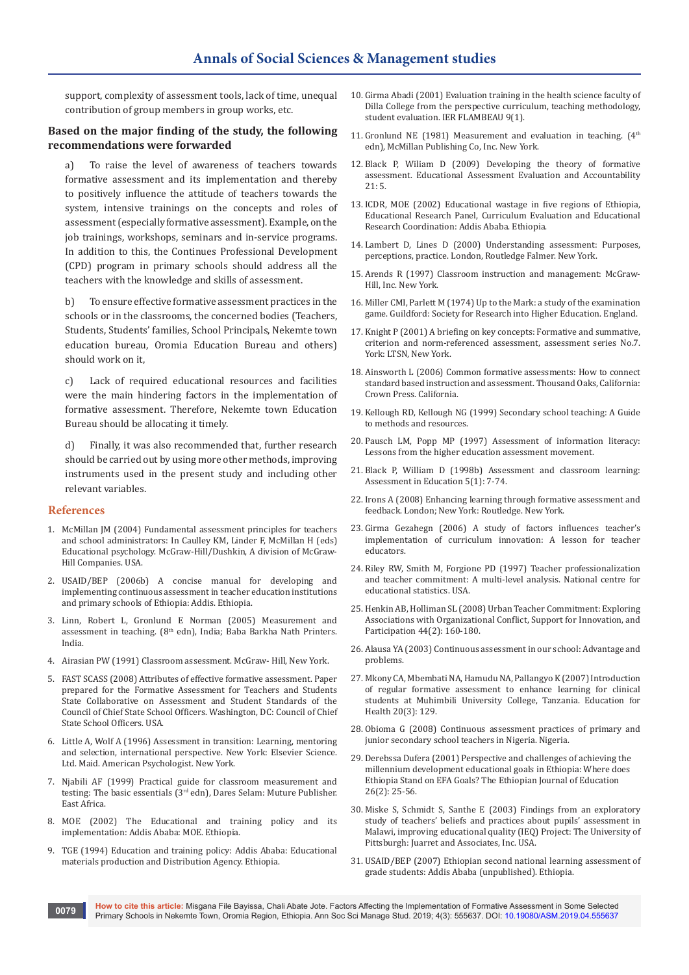support, complexity of assessment tools, lack of time, unequal contribution of group members in group works, etc.

## **Based on the major finding of the study, the following recommendations were forwarded**

a) To raise the level of awareness of teachers towards formative assessment and its implementation and thereby to positively influence the attitude of teachers towards the system, intensive trainings on the concepts and roles of assessment (especially formative assessment). Example, on the job trainings, workshops, seminars and in-service programs. In addition to this, the Continues Professional Development (CPD) program in primary schools should address all the teachers with the knowledge and skills of assessment.

b) To ensure effective formative assessment practices in the schools or in the classrooms, the concerned bodies (Teachers, Students, Students' families, School Principals, Nekemte town education bureau, Oromia Education Bureau and others) should work on it,

c) Lack of required educational resources and facilities were the main hindering factors in the implementation of formative assessment. Therefore, Nekemte town Education Bureau should be allocating it timely.

d) Finally, it was also recommended that, further research should be carried out by using more other methods, improving instruments used in the present study and including other relevant variables.

## **References**

- 1. McMillan JM (2004) Fundamental assessment principles for teachers and school administrators: In Caulley KM, Linder F, McMillan H (eds) Educational psychology. McGraw-Hill/Dushkin, A division of McGraw-Hill Companies. USA.
- 2. USAID/BEP (2006b) A concise manual for developing and implementing continuous assessment in teacher education institutions and primary schools of Ethiopia: Addis. Ethiopia.
- 3. Linn, Robert L, Gronlund E Norman (2005) Measurement and assessment in teaching. (8<sup>th</sup> edn), India; Baba Barkha Nath Printers. India.
- 4. Airasian PW (1991) Classroom assessment. McGraw- Hill, New York.
- 5. FAST SCASS (2008) Attributes of effective formative assessment. Paper prepared for the Formative Assessment for Teachers and Students State Collaborative on Assessment and Student Standards of the Council of Chief State School Officers. Washington, DC: Council of Chief State School Officers. USA.
- 6. Little A, Wolf A (1996) Assessment in transition: Learning, mentoring and selection, international perspective. New York: Elsevier Science. Ltd. Maid. American Psychologist. New York.
- 7. Njabili AF (1999) Practical guide for classroom measurement and testing: The basic essentials (3rd edn), Dares Selam: Muture Publisher. East Africa.
- 8. MOE (2002) The Educational and training policy and its implementation: Addis Ababa: MOE. Ethiopia.
- 9. TGE (1994) Education and training policy: Addis Ababa: Educational materials production and Distribution Agency. Ethiopia.
- 10. [Girma Abadi \(2001\) Evaluation training in the health science faculty of](http://ejol.aau.edu.et/index.php/FLAMBEAU/article/view/332)  [Dilla College from the perspective curriculum, teaching methodology,](http://ejol.aau.edu.et/index.php/FLAMBEAU/article/view/332)  [student evaluation. IER FLAMBEAU 9\(1\).](http://ejol.aau.edu.et/index.php/FLAMBEAU/article/view/332)
- 11. Gronlund NE (1981) Measurement and evaluation in teaching.  $(4<sup>th</sup>$ edn), McMillan Publishing Co, Inc. New York.
- 12. [Black P, Wiliam D \(2009\) Developing the theory of formative](https://link.springer.com/article/10.1007/s11092-008-9068-5)  [assessment. Educational Assessment Evaluation and Accountability](https://link.springer.com/article/10.1007/s11092-008-9068-5)  [21: 5.](https://link.springer.com/article/10.1007/s11092-008-9068-5)
- 13. ICDR, MOE (2002) Educational wastage in five regions of Ethiopia, Educational Research Panel, Curriculum Evaluation and Educational Research Coordination: Addis Ababa. Ethiopia.
- 14. Lambert D, Lines D (2000) Understanding assessment: Purposes, perceptions, practice. London, Routledge Falmer. New York.
- 15. Arends R (1997) Classroom instruction and management: McGraw-Hill, Inc. New York.
- 16. Miller CMI, Parlett M (1974) Up to the Mark: a study of the examination game. Guildford: Society for Research into Higher Education. England.
- 17. Knight P (2001) A briefing on key concepts: Formative and summative, criterion and norm-referenced assessment, assessment series No.7. York: LTSN, New York.
- 18. Ainsworth L (2006) Common formative assessments: How to connect standard based instruction and assessment. Thousand Oaks, California: Crown Press. California.
- 19. Kellough RD, Kellough NG (1999) Secondary school teaching: A Guide to methods and resources.
- 20. [Pausch LM, Popp MP \(1997\) Assessment of information literacy:](http://www.ala.org/acrl/publications/whitepapers/nashville/pauschpopp)  [Lessons from the higher education assessment movement.](http://www.ala.org/acrl/publications/whitepapers/nashville/pauschpopp)
- 21. [Black P, William D \(1998b\) Assessment and classroom learning:](https://www.tandfonline.com/doi/abs/10.1080/0969595980050102)  [Assessment in Education 5\(1\): 7-74.](https://www.tandfonline.com/doi/abs/10.1080/0969595980050102)
- 22. Irons A (2008) Enhancing learning through formative assessment and feedback. London; New York: Routledge. New York.
- 23. Girma Gezahegn (2006) A study of factors influences teacher's implementation of curriculum innovation: A lesson for teacher educators.
- 24. [Riley RW, Smith M, Forgione PD \(1997\) Teacher professionalization](https://nces.ed.gov/pubs/97069.pdf)  [and teacher commitment: A multi-level analysis. National centre for](https://nces.ed.gov/pubs/97069.pdf)  [educational statistics. USA.](https://nces.ed.gov/pubs/97069.pdf)
- 25. [Henkin AB, Holliman SL \(2008\) Urban Teacher Commitment: Exploring](https://journals.sagepub.com/doi/10.1177/0042085907312548)  [Associations with Organizational Conflict, Support for Innovation, and](https://journals.sagepub.com/doi/10.1177/0042085907312548)  [Participation 44\(2\): 160-180.](https://journals.sagepub.com/doi/10.1177/0042085907312548)
- 26. Alausa YA (2003) Continuous assessment in our school: Advantage and problems.
- 27. [Mkony CA, Mbembati NA, Hamudu NA, Pallangyo K \(2007\) Introduction](file:///C:/Users/Administrator/Desktop/New%20folder/ASM.MS.ID.555637/ASM-RA-19-681/ncbi.nlm.nih.gov/pubmed/18080965)  [of regular formative assessment to enhance learning for clinical](file:///C:/Users/Administrator/Desktop/New%20folder/ASM.MS.ID.555637/ASM-RA-19-681/ncbi.nlm.nih.gov/pubmed/18080965)  [students at Muhimbili University College, Tanzania. Education for](file:///C:/Users/Administrator/Desktop/New%20folder/ASM.MS.ID.555637/ASM-RA-19-681/ncbi.nlm.nih.gov/pubmed/18080965)  [Health 20\(3\): 129.](file:///C:/Users/Administrator/Desktop/New%20folder/ASM.MS.ID.555637/ASM-RA-19-681/ncbi.nlm.nih.gov/pubmed/18080965)
- 28. Obioma G (2008) Continuous assessment practices of primary and junior secondary school teachers in Nigeria. Nigeria.
- 29. [Derebssa Dufera \(2001\) Perspective and challenges of achieving the](http://ejol.aau.edu.et/index.php/EJE/article/view/132)  [millennium development educational goals in Ethiopia: Where does](http://ejol.aau.edu.et/index.php/EJE/article/view/132)  [Ethiopia Stand on EFA Goals? The Ethiopian Journal of Education](http://ejol.aau.edu.et/index.php/EJE/article/view/132)  [26\(2\): 25-56.](http://ejol.aau.edu.et/index.php/EJE/article/view/132)
- 30. Miske S, Schmidt S, Santhe E (2003) Findings from an exploratory study of teachers' beliefs and practices about pupils' assessment in Malawi, improving educational quality (IEQ) Project: The University of Pittsburgh: Juarret and Associates, Inc. USA.
- 31. USAID/BEP (2007) Ethiopian second national learning assessment of grade students: Addis Ababa (unpublished). Ethiopia.

**How to cite this article:** Misgana File Bayissa, Chali Abate Jote. Factors Affecting the Implementation of Formative Assessment in Some Selected **Primary Schools in Nekemte Town, Oromia Region, Ethiopia. Ann Soc Sci Manage Stud. 2019; 4(3): 555637. DOI: [10.19080/ASM.2019.04.555637](http://dx.doi.org/10.19080/ASM.2019.04.555637) <b>Primary Schools in Nekemte Town, Oromia Region, Ethiopia. Ann Soc Sci Manage Stud. 2**